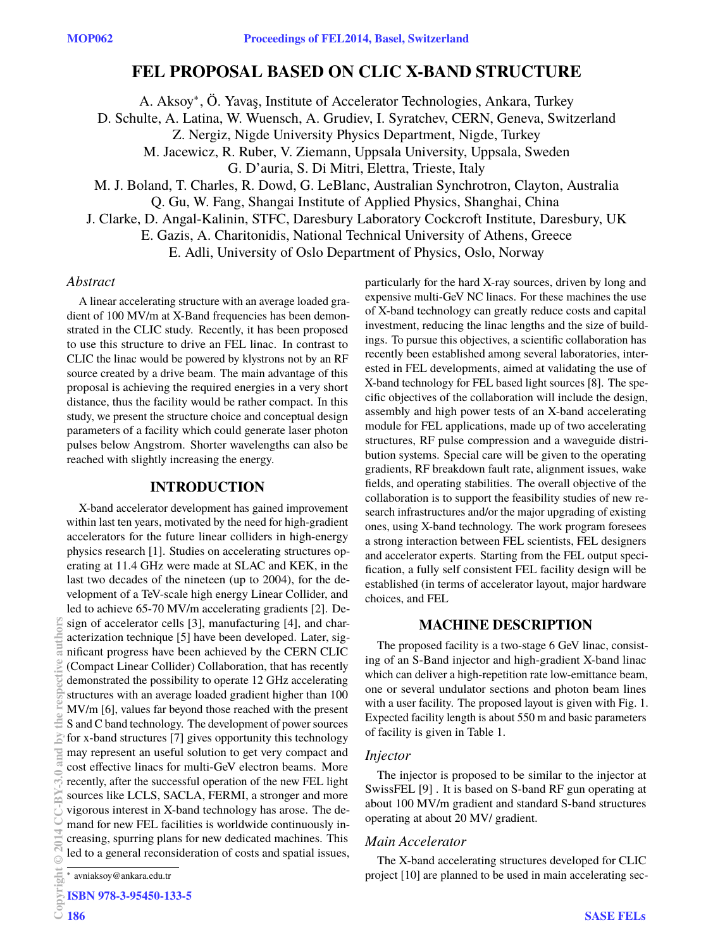# **FEL PROPOSAL BASED ON CLIC X-BAND STRUCTURE**

A. Aksoy<sup>∗</sup> , Ö. Yavaş, Institute of Accelerator Technologies, Ankara, Turkey

D. Schulte, A. Latina, W. Wuensch, A. Grudiev, I. Syratchev, CERN, Geneva, Switzerland

Z. Nergiz, Nigde University Physics Department, Nigde, Turkey

M. Jacewicz, R. Ruber, V. Ziemann, Uppsala University, Uppsala, Sweden

G. D'auria, S. Di Mitri, Elettra, Trieste, Italy

M. J. Boland, T. Charles, R. Dowd, G. LeBlanc, Australian Synchrotron, Clayton, Australia

Q. Gu, W. Fang, Shangai Institute of Applied Physics, Shanghai, China

J. Clarke, D. Angal-Kalinin, STFC, Daresbury Laboratory Cockcroft Institute, Daresbury, UK

E. Gazis, A. Charitonidis, National Technical University of Athens, Greece

E. Adli, University of Oslo Department of Physics, Oslo, Norway

# *Abstract*

A linear accelerating structure with an average loaded gradient of 100 MV/m at X-Band frequencies has been demonstrated in the CLIC study. Recently, it has been proposed to use this structure to drive an FEL linac. In contrast to CLIC the linac would be powered by klystrons not by an RF source created by a drive beam. The main advantage of this proposal is achieving the required energies in a very short distance, thus the facility would be rather compact. In this study, we present the structure choice and conceptual design parameters of a facility which could generate laser photon pulses below Angstrom. Shorter wavelengths can also be reached with slightly increasing the energy.

# **INTRODUCTION**

X-band accelerator development has gained improvement within last ten years, motivated by the need for high-gradient accelerators for the future linear colliders in high-energy physics research [1]. Studies on accelerating structures operating at 11.4 GHz were made at SLAC and KEK, in the last two decades of the nineteen (up to 2004), for the development of a TeV-scale high energy Linear Collider, and led to achieve 65-70 MV/m accelerating gradients [2]. Design of accelerator cells [3], manufacturing [4], and characterization technique [5] have been developed. Later, significant progress have been achieved by the CERN CLIC (Compact Linear Collider) Collaboration, that has recently demonstrated the possibility to operate 12 GHz accelerating structures with an average loaded gradient higher than 100 MV/m [6], values far beyond those reached with the present S and C band technology. The development of power sources for x-band structures [7] gives opportunity this technology may represent an useful solution to get very compact and cost effective linacs for multi-GeV electron beams. More recently, after the successful operation of the new FEL light sources like LCLS, SACLA, FERMI, a stronger and more vigorous interest in X-band technology has arose. The demand for new FEL facilities is worldwide continuously increasing, spurring plans for new dedicated machines. This led to a general reconsideration of costs and spatial issues, Copyright  $\odot$  2014 CC-BY-3.0 and by the respective authors

ielni

Ã

particularly for the hard X-ray sources, driven by long and expensive multi-GeV NC linacs. For these machines the use of X-band technology can greatly reduce costs and capital investment, reducing the linac lengths and the size of buildings. To pursue this objectives, a scientific collaboration has recently been established among several laboratories, interested in FEL developments, aimed at validating the use of X-band technology for FEL based light sources [8]. The specific objectives of the collaboration will include the design, assembly and high power tests of an X-band accelerating module for FEL applications, made up of two accelerating structures, RF pulse compression and a waveguide distribution systems. Special care will be given to the operating gradients, RF breakdown fault rate, alignment issues, wake fields, and operating stabilities. The overall objective of the collaboration is to support the feasibility studies of new research infrastructures and/or the major upgrading of existing ones, using X-band technology. The work program foresees a strong interaction between FEL scientists, FEL designers and accelerator experts. Starting from the FEL output specification, a fully self consistent FEL facility design will be established (in terms of accelerator layout, major hardware choices, and FEL

# **MACHINE DESCRIPTION**

The proposed facility is a two-stage 6 GeV linac, consisting of an S-Band injector and high-gradient X-band linac which can deliver a high-repetition rate low-emittance beam, one or several undulator sections and photon beam lines with a user facility. The proposed layout is given with Fig. 1. Expected facility length is about 550 m and basic parameters of facility is given in Table 1.

### *Injector*

The injector is proposed to be similar to the injector at SwissFEL [9] . It is based on S-band RF gun operating at about 100 MV/m gradient and standard S-band structures operating at about 20 MV/ gradient.

# *Main Accelerator*

The X-band accelerating structures developed for CLIC project [10] are planned to be used in main accelerating sec-

<sup>∗</sup> avniaksoy@ankara.edu.tr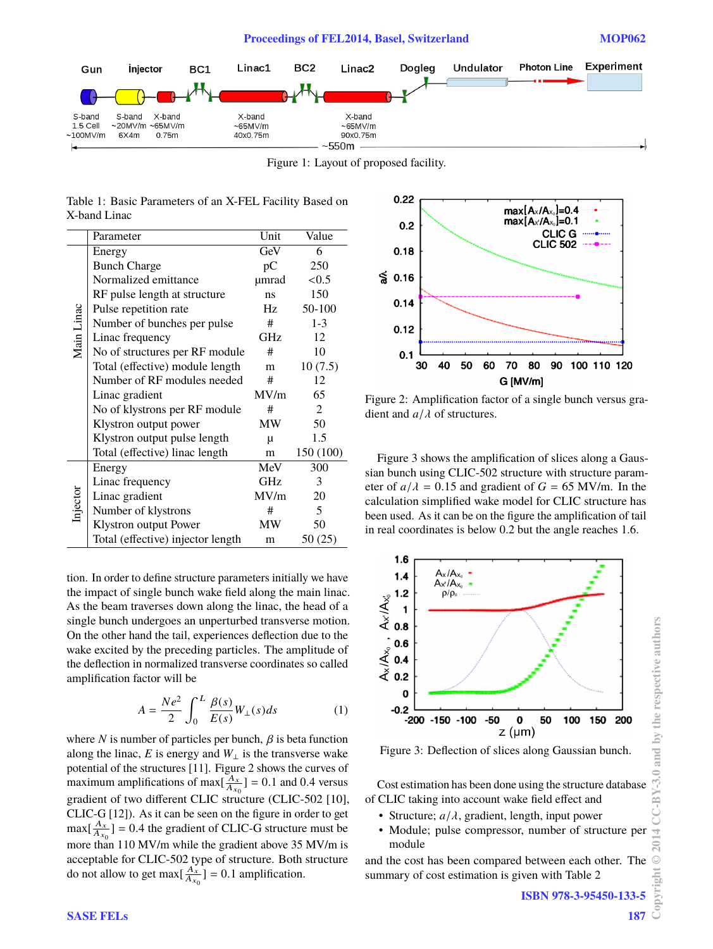

Figure 1: Layout of proposed facility.

|              | Table 1: Basic Parameters of an X-FEL Facility Based on |  |  |  |
|--------------|---------------------------------------------------------|--|--|--|
| X-band Linac |                                                         |  |  |  |

|            | Parameter                         | Unit       | Value     |
|------------|-----------------------------------|------------|-----------|
|            | Energy                            | GeV        | 6         |
| Main Linac | <b>Bunch Charge</b>               | pC         | 250       |
|            | Normalized emittance              | µmrad      | < 0.5     |
|            | RF pulse length at structure      | ns         | 150       |
|            | Pulse repetition rate             | Hz         | 50-100    |
|            | Number of bunches per pulse       | #          | $1 - 3$   |
|            | Linac frequency                   | <b>GHz</b> | 12        |
|            | No of structures per RF module    | #          | 10        |
|            | Total (effective) module length   | m          | 10(7.5)   |
|            | Number of RF modules needed       | #          | 12        |
|            | Linac gradient                    | MV/m       | 65        |
|            | No of klystrons per RF module     | #          | 2         |
|            | Klystron output power             | MW         | 50        |
|            | Klystron output pulse length      | $\mu$      | 1.5       |
|            | Total (effective) linac length    | m          | 150 (100) |
| Injector   | Energy                            | MeV        | 300       |
|            | Linac frequency                   | GHz        | 3         |
|            | Linac gradient                    | MV/m       | 20        |
|            | Number of klystrons               | #          | 5         |
|            | Klystron output Power             | MW         | 50        |
|            | Total (effective) injector length | m          | 50 (25)   |

tion. In order to define structure parameters initially we have the impact of single bunch wake field along the main linac. As the beam traverses down along the linac, the head of a single bunch undergoes an unperturbed transverse motion. On the other hand the tail, experiences deflection due to the wake excited by the preceding particles. The amplitude of the deflection in normalized transverse coordinates so called amplification factor will be

$$
A = \frac{Ne^2}{2} \int_0^L \frac{\beta(s)}{E(s)} W_{\perp}(s) ds \tag{1}
$$

where *N* is number of particles per bunch,  $\beta$  is beta function along the linac,  $E$  is energy and  $W_{\perp}$  is the transverse wake potential of the structures [11]. Figure 2 shows the curves of maximum amplifications of max $\left[\frac{A_x}{A_{x0}}\right] = 0.1$  and 0.4 versus gradient of two different CLIC structure (CLIC-502 [10], CLIC-G [12]). As it can be seen on the figure in order to get  $\max[\frac{A_x}{A_{x0}}] = 0.4$  the gradient of CLIC-G structure must be more than 110 MV/m while the gradient above 35 MV/m is acceptable for CLIC-502 type of structure. Both structure do not allow to get max $\left[\frac{A_x}{A_{x_0}}\right] = 0.1$  amplification.



Figure 2: Amplification factor of a single bunch versus gradient and *<sup>a</sup>*/λ of structures.

Figure 3 shows the amplification of slices along a Gaussian bunch using CLIC-502 structure with structure parameter of  $a/\lambda = 0.15$  and gradient of  $G = 65$  MV/m. In the calculation simplified wake model for CLIC structure has been used. As it can be on the figure the amplification of tail in real coordinates is below 0.2 but the angle reaches 1.6.



Figure 3: Deflection of slices along Gaussian bunch.

Cost estimation has been done using the structure database of CLIC taking into account wake field effect and

- Structure;  $a/\lambda$ , gradient, length, input power
- Module; pulse compressor, number of structure per module

and the cost has been compared between each other. The summary of cost estimation is given with Table 2

187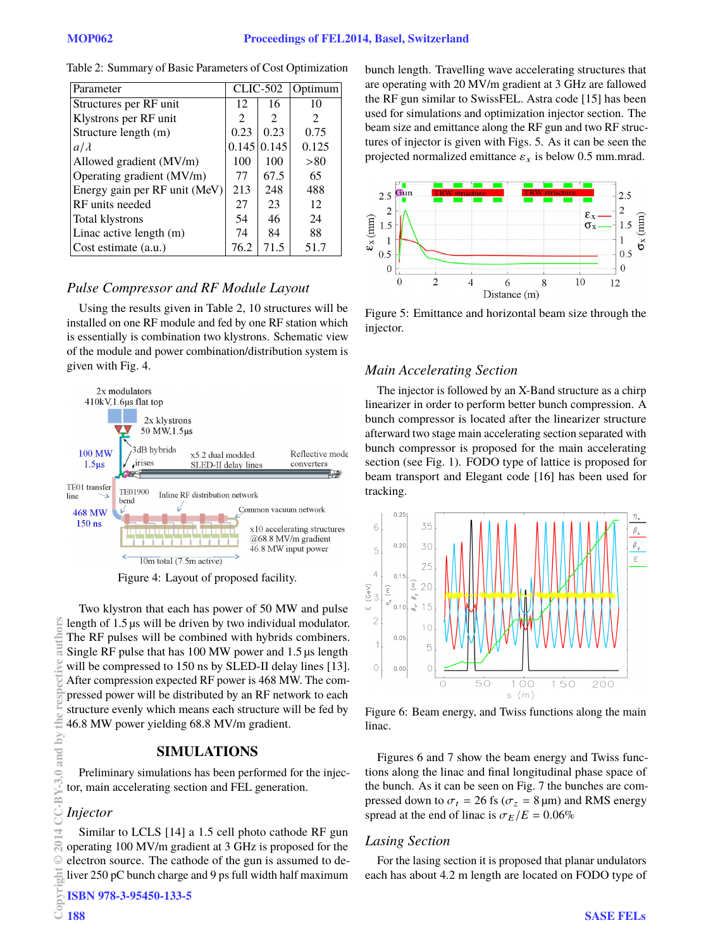| Parameter                     | CLIC-502      |                             | Optimum                     |
|-------------------------------|---------------|-----------------------------|-----------------------------|
| Structures per RF unit        | 12            | 16                          | 10                          |
| Klystrons per RF unit         | $\mathcal{L}$ | $\mathcal{D}_{\mathcal{L}}$ | $\mathcal{D}_{\mathcal{L}}$ |
| Structure length (m)          | 0.23          | 0.23                        | 0.75                        |
| $a/\lambda$                   |               | $0.145 \mid 0.145$          | 0.125                       |
| Allowed gradient (MV/m)       | 100           | 100                         | > 80                        |
| Operating gradient (MV/m)     | 77            | 67.5                        | 65                          |
| Energy gain per RF unit (MeV) | 213           | 248                         | 488                         |
| RF units needed               | 27            | 23                          | 12                          |
| <b>Total klystrons</b>        | 54            | 46                          | 24                          |
| Linac active length (m)       | 74            | 84                          | 88                          |
| Cost estimate (a.u.)          | 76.2          | 71.5                        | 51.7                        |

Table 2: Summary of Basic Parameters of Cost Optimization

# *Pulse Compressor and RF Module Layout*

Using the results given in Table 2, 10 structures will be installed on one RF module and fed by one RF station which is essentially is combination two klystrons. Schematic view of the module and power combination/distribution system is given with Fig. 4.



Figure 4: Layout of proposed facility.

Two klystron that each has power of 50 MW and pulse length of 1.5 µs will be driven by two individual modulator. The RF pulses will be combined with hybrids combiners. Single RF pulse that has 100 MW power and 1.5 µs length will be compressed to 150 ns by SLED-II delay lines [13]. After compression expected RF power is 468 MW. The compressed power will be distributed by an RF network to each structure evenly which means each structure will be fed by 46.8 MW power yielding 68.8 MV/m gradient. Copyright  $\odot$  2014 CC-BY-3.0 and by the respective authors

# **SIMULATIONS**

Preliminary simulations has been performed for the injector, main accelerating section and FEL generation.

### *Injector*

auth

ive

bv

 $3.0$  and

Ř

 $\approx$ 

ā

Similar to LCLS [14] a 1.5 cell photo cathode RF gun operating 100 MV/m gradient at 3 GHz is proposed for the electron source. The cathode of the gun is assumed to deliver 250 pC bunch charge and 9 ps full width half maximum

ISBN 978-3-95450-133-5

bunch length. Travelling wave accelerating structures that are operating with 20 MV/m gradient at 3 GHz are fallowed the RF gun similar to SwissFEL. Astra code [15] has been used for simulations and optimization injector section. The beam size and emittance along the RF gun and two RF structures of injector is given with Figs. 5. As it can be seen the projected normalized emittance  $\varepsilon_x$  is below 0.5 mm.mrad.



Figure 5: Emittance and horizontal beam size through the injector.

# *Main Accelerating Section*

The injector is followed by an X-Band structure as a chirp linearizer in order to perform better bunch compression. A bunch compressor is located after the linearizer structure afterward two stage main accelerating section separated with bunch compressor is proposed for the main accelerating section (see Fig. 1). FODO type of lattice is proposed for beam transport and Elegant code [16] has been used for tracking.



Figure 6: Beam energy, and Twiss functions along the main linac.

Figures 6 and 7 show the beam energy and Twiss functions along the linac and final longitudinal phase space of the bunch. As it can be seen on Fig. 7 the bunches are compressed down to  $\sigma_t$  = 26 fs ( $\sigma_z$  = 8 µm) and RMS energy spread at the end of linac is  $\sigma_E/E = 0.06\%$ 

### *Lasing Section*

For the lasing section it is proposed that planar undulators each has about 4.2 m length are located on FODO type of